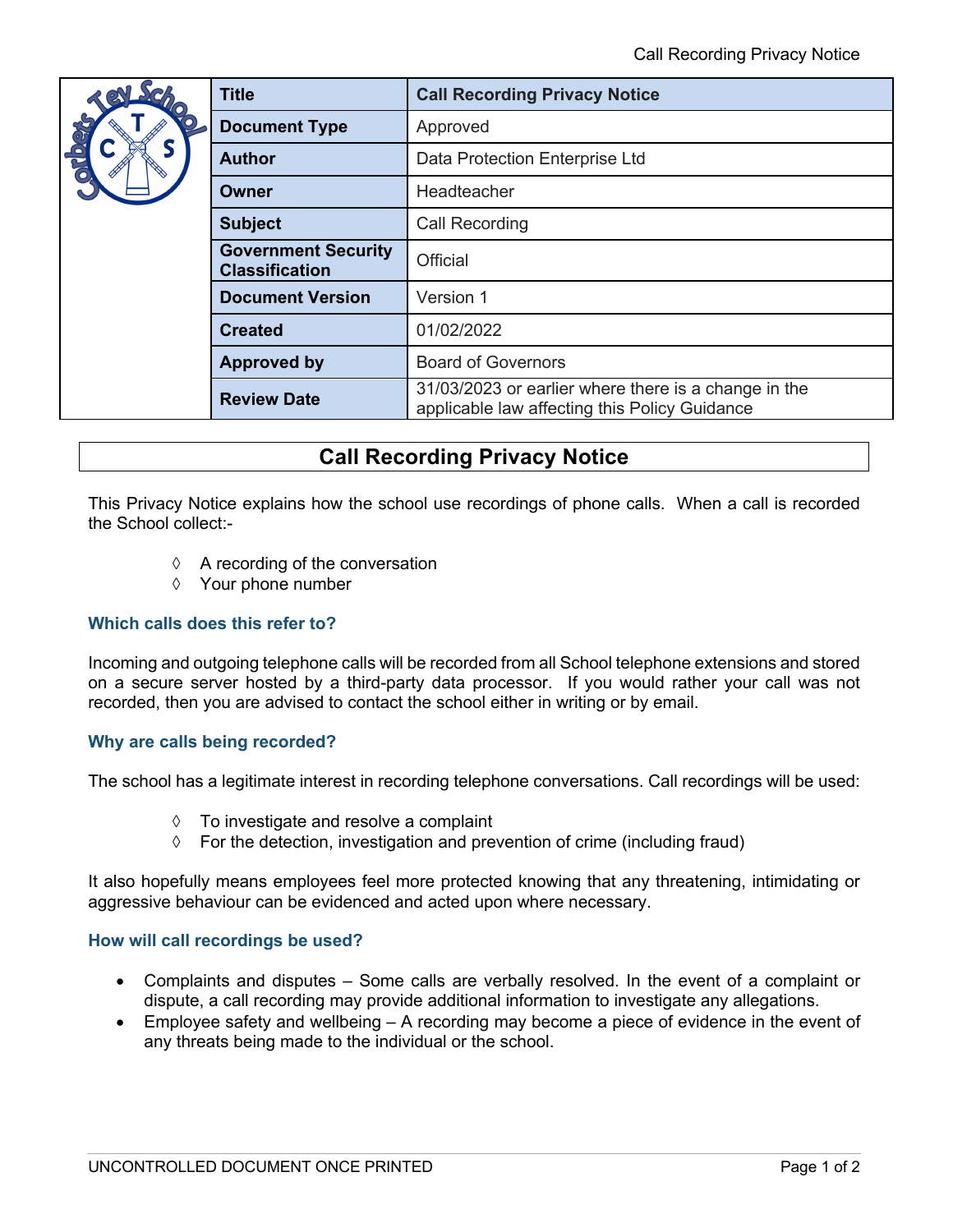| dho<br>Chio | <b>Title</b>                                        | <b>Call Recording Privacy Notice</b>                                                                  |
|-------------|-----------------------------------------------------|-------------------------------------------------------------------------------------------------------|
|             | <b>Document Type</b>                                | Approved                                                                                              |
|             | <b>Author</b>                                       | Data Protection Enterprise Ltd                                                                        |
|             | Owner                                               | Headteacher                                                                                           |
|             | <b>Subject</b>                                      | <b>Call Recording</b>                                                                                 |
|             | <b>Government Security</b><br><b>Classification</b> | <b>Official</b>                                                                                       |
|             | <b>Document Version</b>                             | Version 1                                                                                             |
|             | <b>Created</b>                                      | 01/02/2022                                                                                            |
|             | <b>Approved by</b>                                  | <b>Board of Governors</b>                                                                             |
|             | <b>Review Date</b>                                  | 31/03/2023 or earlier where there is a change in the<br>applicable law affecting this Policy Guidance |

# **Call Recording Privacy Notice**

This Privacy Notice explains how the school use recordings of phone calls. When a call is recorded the School collect:-

- $\Diamond$  A recording of the conversation
- à Your phone number

## **Which calls does this refer to?**

Incoming and outgoing telephone calls will be recorded from all School telephone extensions and stored on a secure server hosted by a third-party data processor. If you would rather your call was not recorded, then you are advised to contact the school either in writing or by email.

### **Why are calls being recorded?**

The school has a legitimate interest in recording telephone conversations. Call recordings will be used:

- $\Diamond$  To investigate and resolve a complaint
- $\Diamond$  For the detection, investigation and prevention of crime (including fraud)

It also hopefully means employees feel more protected knowing that any threatening, intimidating or aggressive behaviour can be evidenced and acted upon where necessary.

### **How will call recordings be used?**

- Complaints and disputes Some calls are verbally resolved. In the event of a complaint or dispute, a call recording may provide additional information to investigate any allegations.
- Employee safety and wellbeing A recording may become a piece of evidence in the event of any threats being made to the individual or the school.